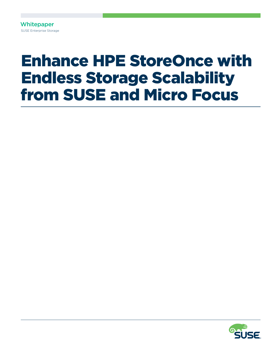**Whitepaper** SUSE Enterprise Storage

# Enhance HPE StoreOnce with Endless Storage Scalability from SUSE and Micro Focus

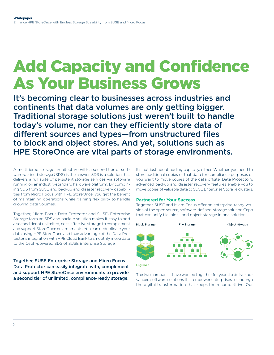## Add Capacity and Confidence As Your Business Grows

It's becoming clear to businesses across industries and continents that data volumes are only getting bigger. Traditional storage solutions just weren't built to handle today's volume, nor can they efficiently store data of different sources and types—from unstructured files to block and object stores. And yet, solutions such as HPE StoreOnce are vital parts of storage environments.

A multitiered storage architecture with a second tier of software-defined storage (SDS) is the answer. SDS is a solution that delivers a full suite of persistent storage services via software running on an industry-standard hardware platform. By combining SDS from SUSE and backup and disaster recovery capabilities from Micro Focus with HPE StoreOnce, you get the benefit of maintaining operations while gaining flexibility to handle growing data volumes.

Together, Micro Focus Data Protector and SUSE® Enterprise Storage form an SDS and backup solution makes it easy to add a second tier of unlimited, cost-effective storage to complement and support StoreOnce environments. You can deduplicate your data using HPE StoreOnce and take advantage of the Data Protector's integration with HPE Cloud Bank to smoothly move data to the Ceph-powered SDS of SUSE Enterprise Storage.

Together, SUSE Enterprise Storage and Micro Focus Data Protector can easily integrate with, complement and support HPE StoreOnce environments to provide a second tier of unlimited, compliance-ready storage.

It's not just about adding capacity, either. Whether you need to store additional copies of that data for compliance purposes or you want to move copies of the data offsite, Data Protector's advanced backup and disaster recovery features enable you to move copies of valuable data to SUSE Enterprise Storage clusters.

#### **Partnered for Your Success**

Together, SUSE and Micro Focus offer an enterprise-ready version of the open source, software-defined-storage solution Ceph that can unify file, block and object storage in one solution..



The two companies have worked together for years to deliver advanced software solutions that empower enterprises to undergo the digital transformation that keeps them competitive. Our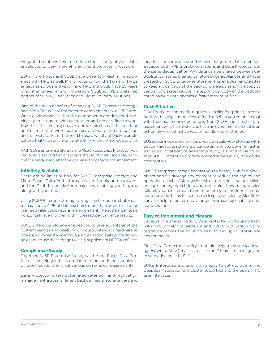integrated solutions help to improve the security of your data, enable you to work more efficiently and promote innovation.

Both Micro Focus and SUSE have close, long-lasting relationships with HPE as well. Micro Focus is now the home of HPE's enterprise software division, and HPE and SUSE have 25 years of joint engineering and innovation. SUSE is HPE's preferred partner for Linux, OpenStack and Cloud Foundry solutions.

One of the main benefits of choosing SUSE Enterprise Storage and Micro Focus Data Protector to complement your HPE Store-Once environment is that the components are designed specifically to integrate with each other and are certified to work together. This means you avoid problems such as the need for administrators to write custom scripts that automate backup and recovery tasks, or the need to use a variety of backup applications that each only work well with one type of storage device.

With SUSE Enterprise Storage and Micro Focus Data Protector, you can build a second tier of storage that is infinitely scalable, compliance ready, cost-effective and easy to manage and implement.

#### **Infinitely Scalable**

There are no limits to how far SUSE Enterprise Storage and Micro Focus Data Protector can scale. Simply add hardware and the Ceph-based cluster rebalances, enabling you to grow along with your data.

Using SUSE Enterprise Storage, a single system administrator can manage up to 4 PB of data, six times more than an administrator in an equivalent block-storage environment. The system can scale horizontally even further, with increased performance results.

SUSE Enterprise Storage enables you to take advantage of the cost-efficiencies and reliability of industry-standard hardware to provide unlimited storage for your organization. Data protector enables you to use that storage to easily supplement HPE StoreOnce.

#### **Compliance-Ready**

Together, SUSE Enterprise Storage and Micro Focus Data Protector can help you back up data or store additional copies in different locations to meet various compliance requirements.

Data Protector offers automated retention and replication management across different backup media, storage tiers and

locations for compliance and efficient long-term data retention. Because both HPE StoreOnce systems and Data Protector use the same deduplication API, data can be shared between deduplication stores created on StoreOnce appliances and those created on SUSE Enterprise Storage. This enables remote sites to keep a local copy of the backup while also sending a copy to central or disaster recovery sites. A local copy of the deduplicated backup data enables a faster restore of files.

#### **Cost-Effective**

Data Protector commonly requires a smaller footprint than competitors, making it more cost-effective. When you combine that with the unique per-node pricing from SUSE and the ability to use commodity hardware, you have an overall solution that is an extremely cost-effective way to handle lots of storage.

SUSE's per-node pricing means you can scale your storage without per-gigabyte software pricing weighing you down. In fact, in a [five-year total cost of ownership study,](https://www.suse.com/media/case-study/5_year_tco_case_study.pdf) IT Brand Pulse found that SUSE Enterprise Storage outperformed every one of the competitors.

SUSE Enterprise Storage enables you to deploy a unified block, object and file storage environment to reduce the capital and operational costs of storage infrastructure. And a feature called, erasure coding, which lets you determine how many device failures your cluster can tolerate before you consider the data compromised, helps to increase disk space efficiency. BlueStore can also help to reduce data storage overhead by enabling data compression.

#### **Easy to Implement and Manage**

Because of a shared history, Data Protector works seamlessly with HPE StoreOnce hardware and HPE Cloud Bank. This integration makes the solution easy to set up in StoreOnce environments.

Plus, Data Protector's ability to predictively track service-level agreements (SLAs) makes it easier for IT teams to manage and ensure adherence to SLAs.

SUSE Enterprise Storage is also easy to set up, due to the DeepSea installation and cluster setup tool and the openATTIC user interface.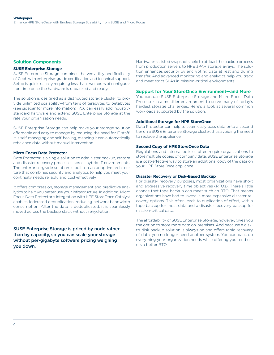#### **Solution Components**

#### **SUSE Enterprise Storage**

SUSE Enterprise Storage combines the versatility and flexibility of Ceph with enterprise-grade certification and technical support. Setup is quick, usually requiring less than two hours of configuration time once the hardware is unpacked and ready.

The solution is designed as a distributed storage cluster to provide unlimited scalability—from tens of terabytes to petabytes (see sidebar for more information). You can easily add industrystandard hardware and extend SUSE Enterprise Storage at the rate your organization needs.

SUSE Enterprise Storage can help make your storage solution affordable and easy to manage by reducing the need for IT staff. It is self-managing and self-healing, meaning it can automatically rebalance data without manual intervention.

#### **Micro Focus Data Protector**

Data Protector is a single solution to administer backup, restore and disaster recovery processes across hybrid IT environments. The enterprise-grade solution is built on an adaptive architecture that combines security and analytics to help you meet your continuity needs reliably and cost-effectively.

It offers compression, storage management and predictive analytics to help you better use your infrastructure. In addition, Micro Focus Data Protector's integration with HPE StoreOnce Catalyst enables federated deduplication, reducing network bandwidth consumption. After the data is deduplicated, it is seamlessly moved across the backup stack without rehydration.

SUSE Enterprise Storage is priced by node rather than by capacity, so you can scale your storage without per-gigabyte software pricing weighing you down.

Hardware-assisted snapshots help to offload the backup process from production servers to HPE 3PAR storage arrays. The solution enhances security by encrypting data at rest and during transfer. And advanced monitoring and analytics help you track and meet strict SLAs in mission-critical environments.

#### **Support for Your StoreOnce Environment—and More**

You can use SUSE Enterprise Storage and Micro Focus Data Protector in a multitier environment to solve many of today's hardest storage challenges. Here's a look at several common workloads supported by the solution.

#### **Additional Storage for HPE StoreOnce**

Data Protector can help to seamlessly pass data onto a second tier on a SUSE Enterprise Storage cluster, thus avoiding the need to replace the appliance.

#### **Second Copy of HPE StoreOnce Data**

Regulations and internal policies often require organizations to store multiple copies of company data. SUSE Enterprise Storage is a cost-effective way to store an additional copy of the data on your HPE StoreOnce appliance.

#### **Disaster Recovery or Disk-Based Backup**

For disaster recovery purposes, most organizations have short and aggressive recovery time objectives (RTOs). There's little chance that tape backup can meet such an RTO. That means organizations have had to invest in more expensive disaster recovery options. This often leads to duplication of effort, with a tape backup for most data and a disaster recovery backup for mission-critical data.

The affordability of SUSE Enterprise Storage, however, gives you the option to store more data on-premises. And because a diskto-disk backup solution is always on and offers rapid recovery of data, you no longer need another system. You can back up everything your organization needs while offering your end users a better RTO.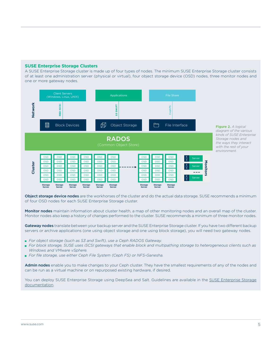#### **SUSE Enterprise Storage Clusters**

A SUSE Enterprise Storage cluster is made up of four types of nodes. The minimum SUSE Enterprise Storage cluster consists of at least one administration server (physical or virtual), four object storage device (OSD) nodes, three monitor nodes and one or more gateway nodes.



**Figure 2.** *A logical diagram of the various kinds of SUSE Enterprise Storage nodes and the ways they interact with the rest of your environment.*

Object storage device nodes are the workhorses of the cluster and do the actual data storage. SUSE recommends a minimum of four OSD nodes for each SUSE Enterprise Storage cluster.

Monitor nodes maintain information about cluster health, a map of other monitoring nodes and an overall map of the cluster. Monitor nodes also keep a history of changes performed to the cluster. SUSE recommends a minimum of three monitor nodes.

Gateway nodes translate between your backup server and the SUSE Enterprise Storage cluster. If you have two different backup servers or archive applications (one using object storage and one using block storage), you will need two gateway nodes.

- *For object storage (such as S3 and Swift), use a Ceph RADOS Gateway.*
- For block storage, SUSE uses iSCSI gateways that enable block and multipathing storage to heterogeneous clients such as *Windows and VMware vSphere.*
- *For file storage, use either Ceph File System (Ceph FS) or NFS-Ganesha.*

Admin nodes enable you to make changes to your Ceph cluster. They have the smallest requirements of any of the nodes and can be run as a virtual machine or on repurposed existing hardware, if desired.

You can deploy [SUSE Enterprise Storage](https://www.suse.com/documentation/suse-enterprise-storage-5/book_storage_deployment/data/ses_deployment.html) using DeepSea and Salt. Guidelines are available in the SUSE Enterprise Storage [documentation](https://www.suse.com/documentation/suse-enterprise-storage-5/book_storage_deployment/data/ses_deployment.html).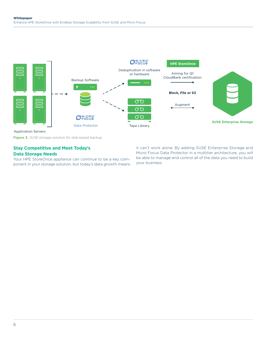

Application Servers

**Figure 3.** *SUSE storage solution for disk-based backup*

### **Stay Competitive and Meet Today's**

### **Data Storage Needs**

Your HPE StoreOnce appliance can continue to be a key component in your storage solution, but today's data growth means it can't work alone. By adding SUSE Enterprise Storage and Micro Focus Data Protector in a multitier architecture, you will be able to manage and control all of the data you need to build your business.